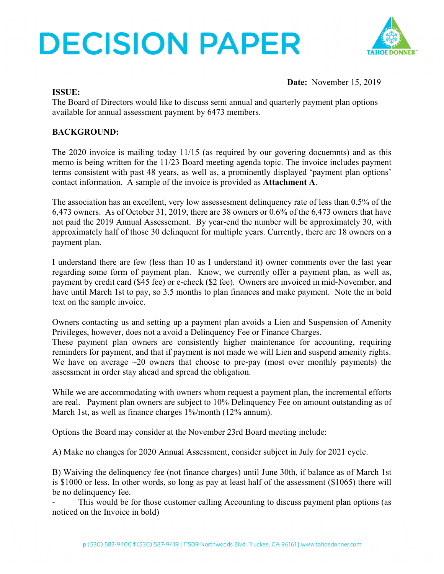# **DECISION PAPER**



**Date:** November 15, 2019

#### **ISSUE:**

The Board of Directors would like to discuss semi annual and quarterly payment plan options available for annual assessment payment by 6473 members.

### **BACKGROUND:**

The 2020 invoice is mailing today 11/15 (as required by our govering docuemnts) and as this memo is being written for the 11/23 Board meeting agenda topic. The invoice includes payment terms consistent with past 48 years, as well as, a prominently displayed 'payment plan options' contact information. A sample of the invoice is provided as **Attachment A**.

The association has an excellent, very low assessesment delinquency rate of less than 0.5% of the 6,473 owners. As of October 31, 2019, there are 38 owners or 0.6% of the 6,473 owners that have not paid the 2019 Annual Assessement. By year-end the number will be approximately 30, with approximately half of those 30 delinquent for multiple years. Currently, there are 18 owners on a payment plan.

I understand there are few (less than 10 as I understand it) owner comments over the last year regarding some form of payment plan. Know, we currently offer a payment plan, as well as, payment by credit card (\$45 fee) or e-check (\$2 fee). Owners are invoiced in mid-November, and have until March 1st to pay, so 3.5 months to plan finances and make payment. Note the in bold text on the sample invoice.

Owners contacting us and setting up a payment plan avoids a Lien and Suspension of Amenity Privileges, however, does not a avoid a Delinquency Fee or Finance Charges.

These payment plan owners are consistently higher maintenance for accounting, requiring reminders for payment, and that if payment is not made we will Lien and suspend amenity rights. We have on average  $\sim$ 20 owners that choose to pre-pay (most over monthly payments) the assessment in order stay ahead and spread the obligation.

While we are accommodating with owners whom request a payment plan, the incremental efforts are real. Payment plan owners are subject to 10% Delinquency Fee on amount outstanding as of March 1st, as well as finance charges 1%/month (12% annum).

Options the Board may consider at the November 23rd Board meeting include:

A) Make no changes for 2020 Annual Assessment, consider subject in July for 2021 cycle.

B) Waiving the delinquency fee (not finance charges) until June 30th, if balance as of March 1st is \$1000 or less. In other words, so long as pay at least half of the assessment (\$1065) there will be no delinquency fee.

This would be for those customer calling Accounting to discuss payment plan options (as noticed on the Invoice in bold)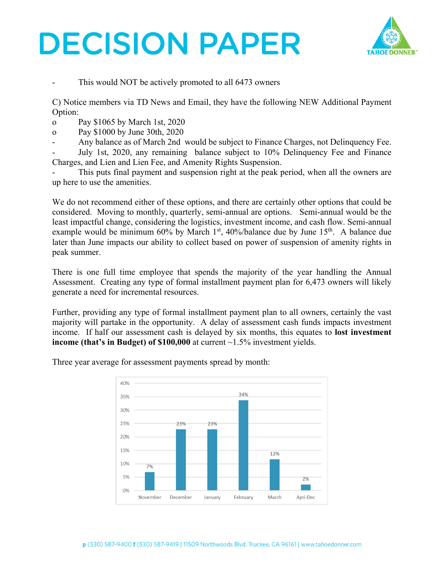## **DECISION PAPER**



This would NOT be actively promoted to all 6473 owners

C) Notice members via TD News and Email, they have the following NEW Additional Payment Option:

o Pay \$1065 by March 1st, 2020

o Pay \$1000 by June 30th, 2020

- Any balance as of March 2nd would be subject to Finance Charges, not Delinquency Fee.

- July 1st, 2020, any remaining balance subject to 10% Delinquency Fee and Finance Charges, and Lien and Lien Fee, and Amenity Rights Suspension.

This puts final payment and suspension right at the peak period, when all the owners are up here to use the amenities.

We do not recommend either of these options, and there are certainly other options that could be considered. Moving to monthly, quarterly, semi-annual are options. Semi-annual would be the least impactful change, considering the logistics, investment income, and cash flow. Semi-annual example would be minimum 60% by March 1<sup>st</sup>, 40%/balance due by June 15<sup>th</sup>. A balance due later than June impacts our ability to collect based on power of suspension of amenity rights in peak summer.

There is one full time employee that spends the majority of the year handling the Annual Assessment. Creating any type of formal installment payment plan for 6,473 owners will likely generate a need for incremental resources.

Further, providing any type of formal installment payment plan to all owners, certainly the vast majority will partake in the opportunity. A delay of assessment cash funds impacts investment income. If half our assessment cash is delayed by six months, this equates to **lost investment income (that's in Budget) of \$100,000** at current ~1.5% investment yields.

> 40% 34% 35% 30% 25% 23% 23% 20% 15% 12% 10%  $7%$ 5% 2%  $0%$ November December January February March Apri-Dec

Three year average for assessment payments spread by month: